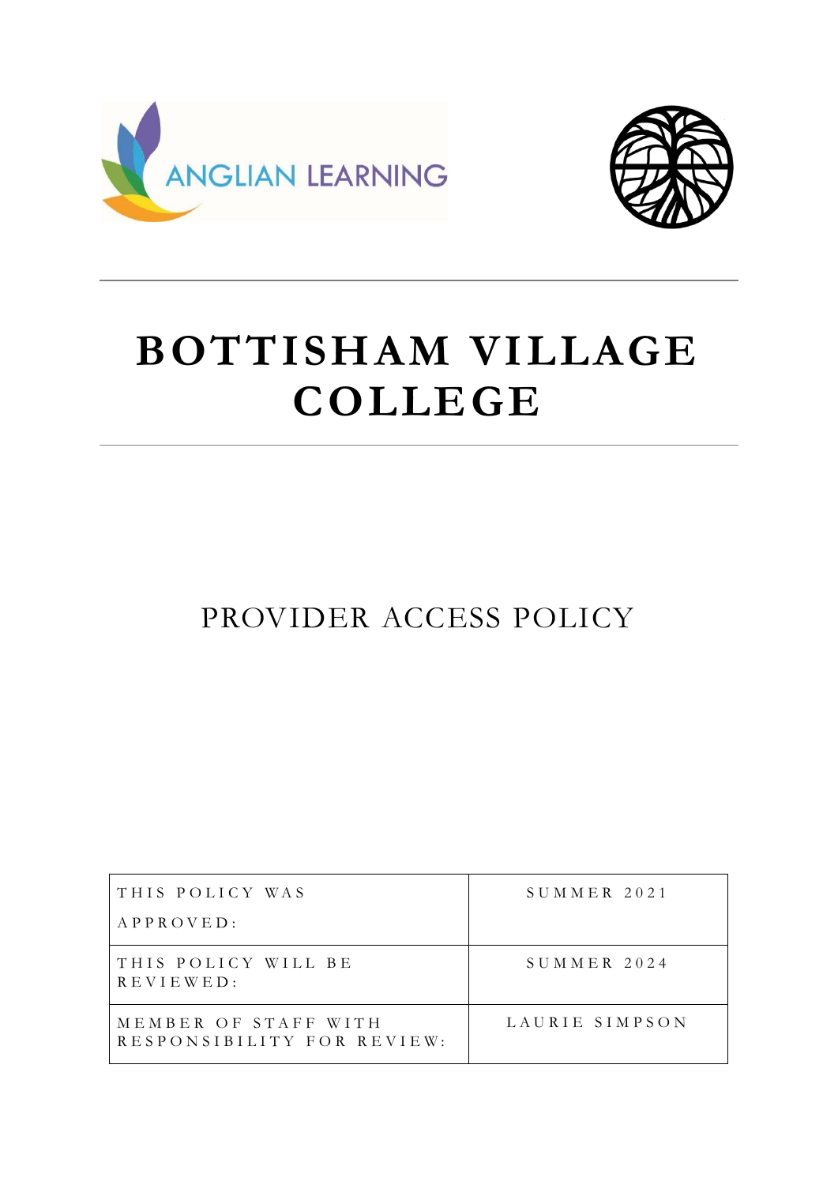



# **BOTTISHAM VILLAGE COLLEGE**

PROVIDER ACCESS POLICY

| THIS POLICY WAS                                    | $S$ UMMER 2021 |
|----------------------------------------------------|----------------|
| APPROVED:                                          |                |
| THIS POLICY WILL BE<br>REVIEWED:                   | $S$ UMMER 2024 |
| MEMBER OF STAFF WITH<br>RESPONSIBILITY FOR REVIEW: | LAURIE SIMPSON |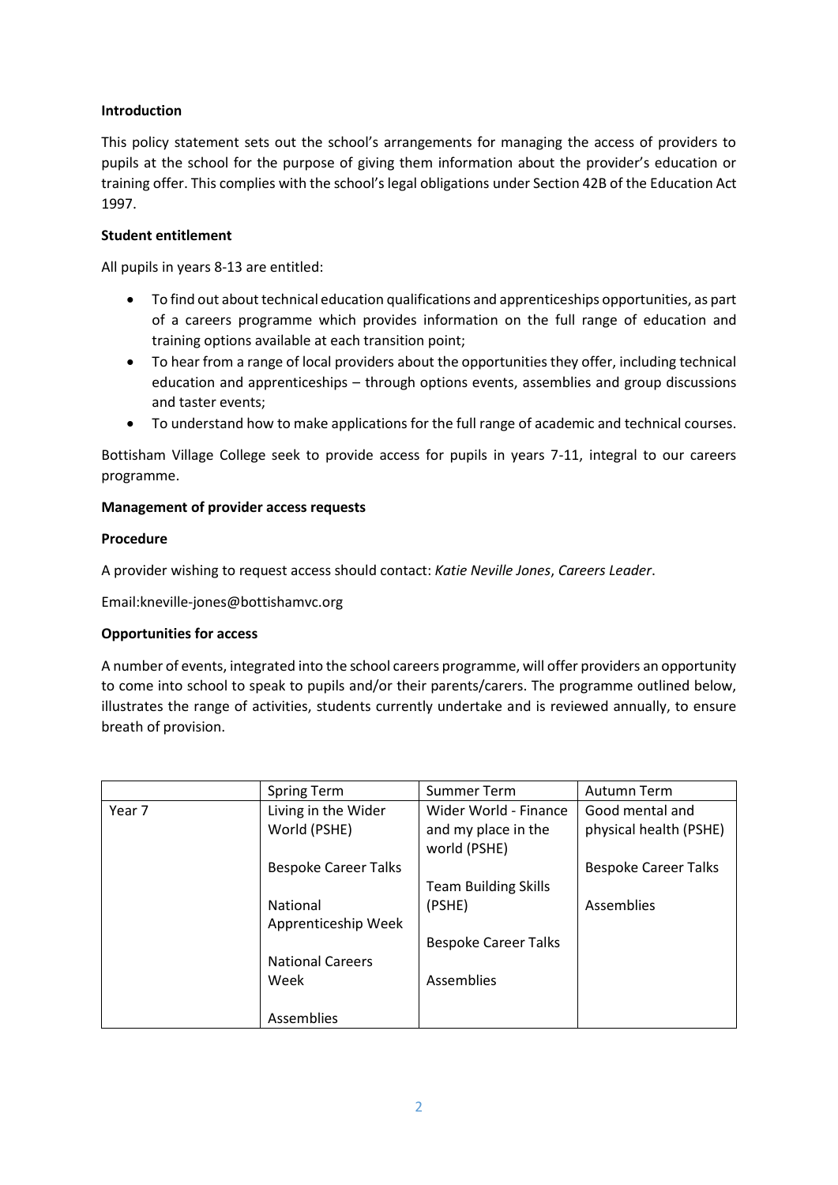## **Introduction**

This policy statement sets out the school's arrangements for managing the access of providers to pupils at the school for the purpose of giving them information about the provider's education or training offer. This complies with the school's legal obligations under Section 42B of the Education Act 1997.

### **Student entitlement**

All pupils in years 8-13 are entitled:

- To find out about technical education qualifications and apprenticeships opportunities, as part of a careers programme which provides information on the full range of education and training options available at each transition point;
- To hear from a range of local providers about the opportunities they offer, including technical education and apprenticeships – through options events, assemblies and group discussions and taster events;
- To understand how to make applications for the full range of academic and technical courses.

Bottisham Village College seek to provide access for pupils in years 7-11, integral to our careers programme.

### **Management of provider access requests**

### **Procedure**

A provider wishing to request access should contact: *Katie Neville Jones*, *Careers Leader*.

Email:kneville-jones@bottishamvc.org

#### **Opportunities for access**

A number of events, integrated into the school careers programme, will offer providers an opportunity to come into school to speak to pupils and/or their parents/carers. The programme outlined below, illustrates the range of activities, students currently undertake and is reviewed annually, to ensure breath of provision.

|        | <b>Spring Term</b>          | Summer Term                 | Autumn Term                 |
|--------|-----------------------------|-----------------------------|-----------------------------|
| Year 7 | Living in the Wider         | Wider World - Finance       | Good mental and             |
|        | World (PSHE)                | and my place in the         | physical health (PSHE)      |
|        |                             | world (PSHE)                |                             |
|        | <b>Bespoke Career Talks</b> |                             | <b>Bespoke Career Talks</b> |
|        |                             | <b>Team Building Skills</b> |                             |
|        | National                    | (PSHE)                      | Assemblies                  |
|        | Apprenticeship Week         |                             |                             |
|        |                             | <b>Bespoke Career Talks</b> |                             |
|        | <b>National Careers</b>     |                             |                             |
|        | Week                        | <b>Assemblies</b>           |                             |
|        |                             |                             |                             |
|        | Assemblies                  |                             |                             |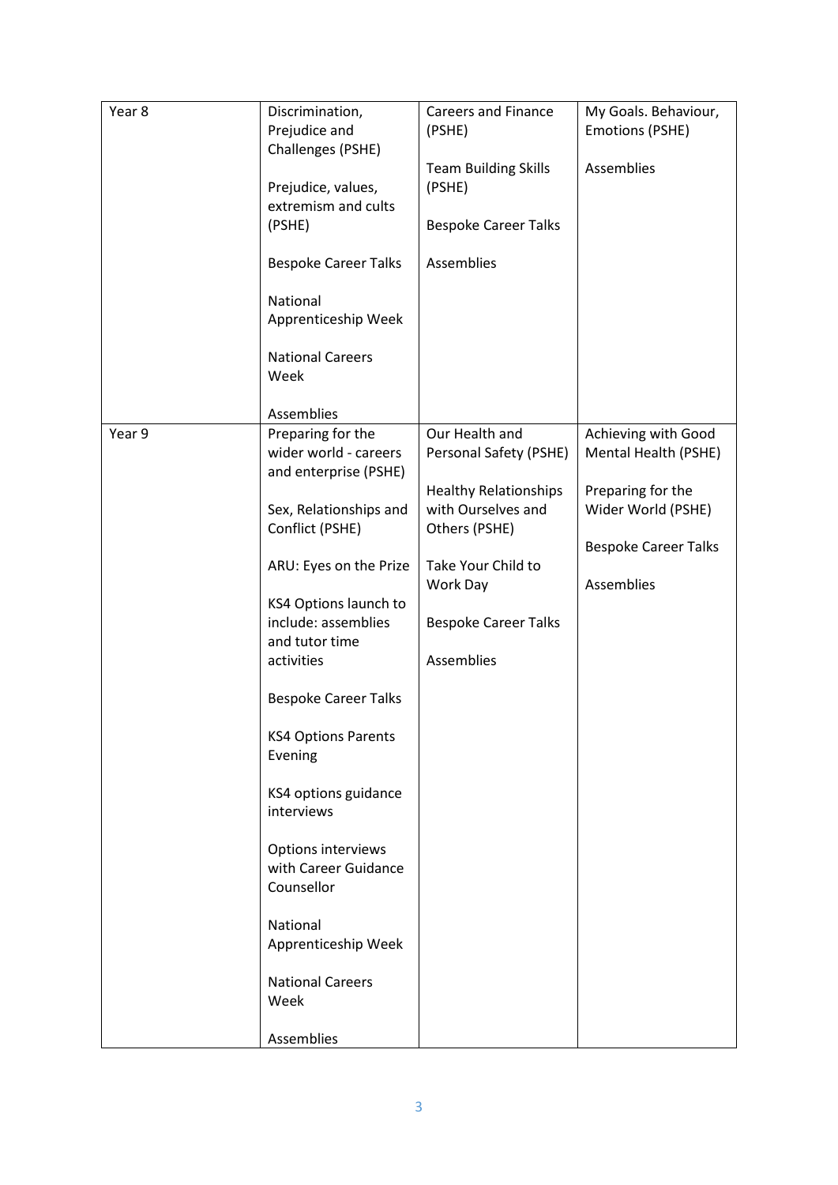| Year 8 | Discrimination,<br>Prejudice and                                         | <b>Careers and Finance</b><br>(PSHE)                                 | My Goals. Behaviour,<br><b>Emotions (PSHE)</b> |
|--------|--------------------------------------------------------------------------|----------------------------------------------------------------------|------------------------------------------------|
|        | Challenges (PSHE)<br>Prejudice, values,<br>extremism and cults<br>(PSHE) | <b>Team Building Skills</b><br>(PSHE)<br><b>Bespoke Career Talks</b> | Assemblies                                     |
|        | <b>Bespoke Career Talks</b>                                              | Assemblies                                                           |                                                |
|        | National<br>Apprenticeship Week                                          |                                                                      |                                                |
|        | <b>National Careers</b><br>Week                                          |                                                                      |                                                |
|        | Assemblies                                                               |                                                                      |                                                |
| Year 9 | Preparing for the<br>wider world - careers<br>and enterprise (PSHE)      | Our Health and<br>Personal Safety (PSHE)                             | Achieving with Good<br>Mental Health (PSHE)    |
|        |                                                                          | <b>Healthy Relationships</b>                                         | Preparing for the                              |
|        | Sex, Relationships and<br>Conflict (PSHE)                                | with Ourselves and<br>Others (PSHE)                                  | Wider World (PSHE)                             |
|        |                                                                          |                                                                      | <b>Bespoke Career Talks</b>                    |
|        | ARU: Eyes on the Prize                                                   | Take Your Child to<br>Work Day                                       | Assemblies                                     |
|        | KS4 Options launch to                                                    |                                                                      |                                                |
|        | include: assemblies<br>and tutor time<br>activities                      | <b>Bespoke Career Talks</b><br>Assemblies                            |                                                |
|        | <b>Bespoke Career Talks</b>                                              |                                                                      |                                                |
|        | <b>KS4 Options Parents</b><br>Evening                                    |                                                                      |                                                |
|        | KS4 options guidance<br>interviews                                       |                                                                      |                                                |
|        | Options interviews<br>with Career Guidance<br>Counsellor                 |                                                                      |                                                |
|        | National<br>Apprenticeship Week                                          |                                                                      |                                                |
|        | <b>National Careers</b><br>Week                                          |                                                                      |                                                |
|        | Assemblies                                                               |                                                                      |                                                |